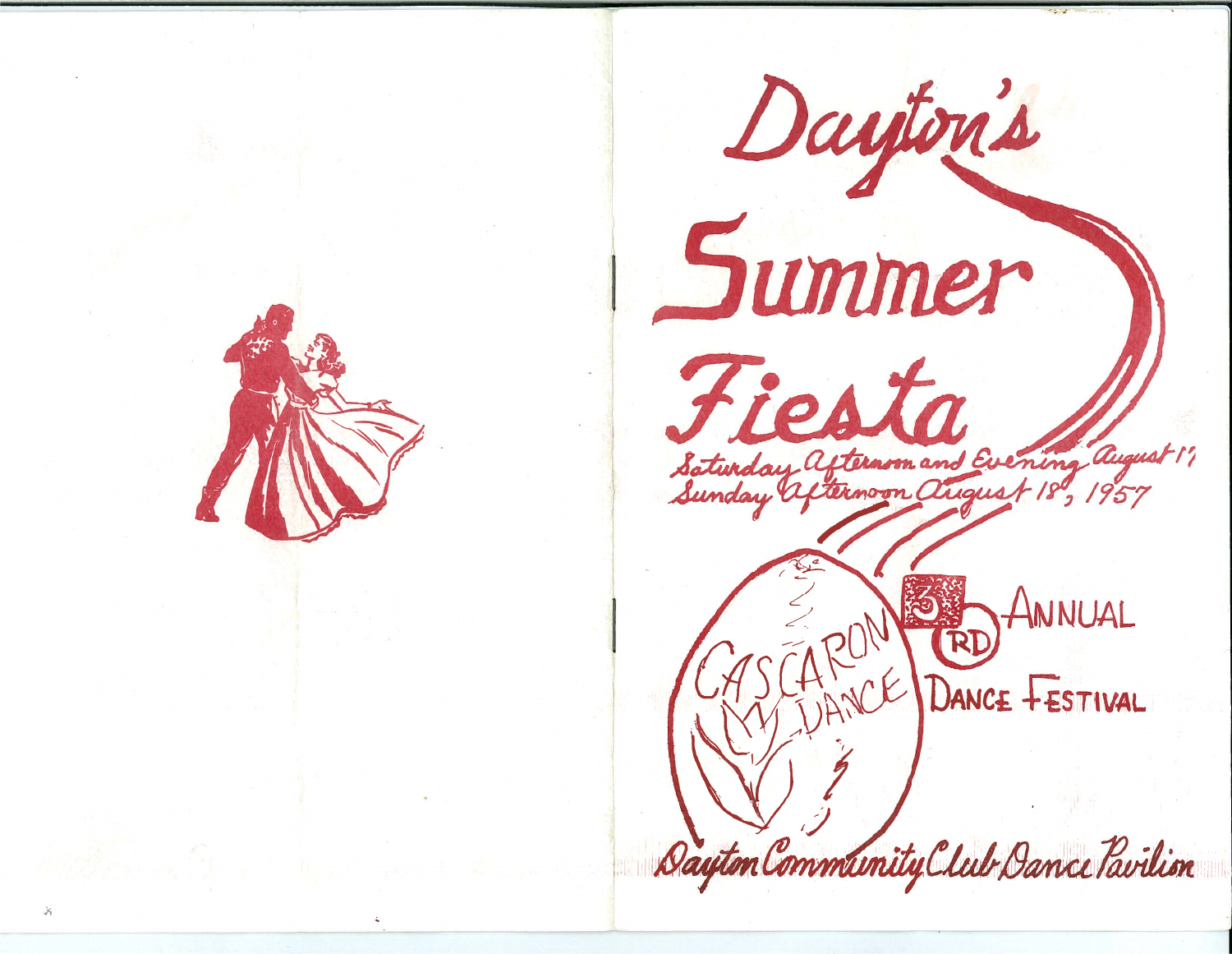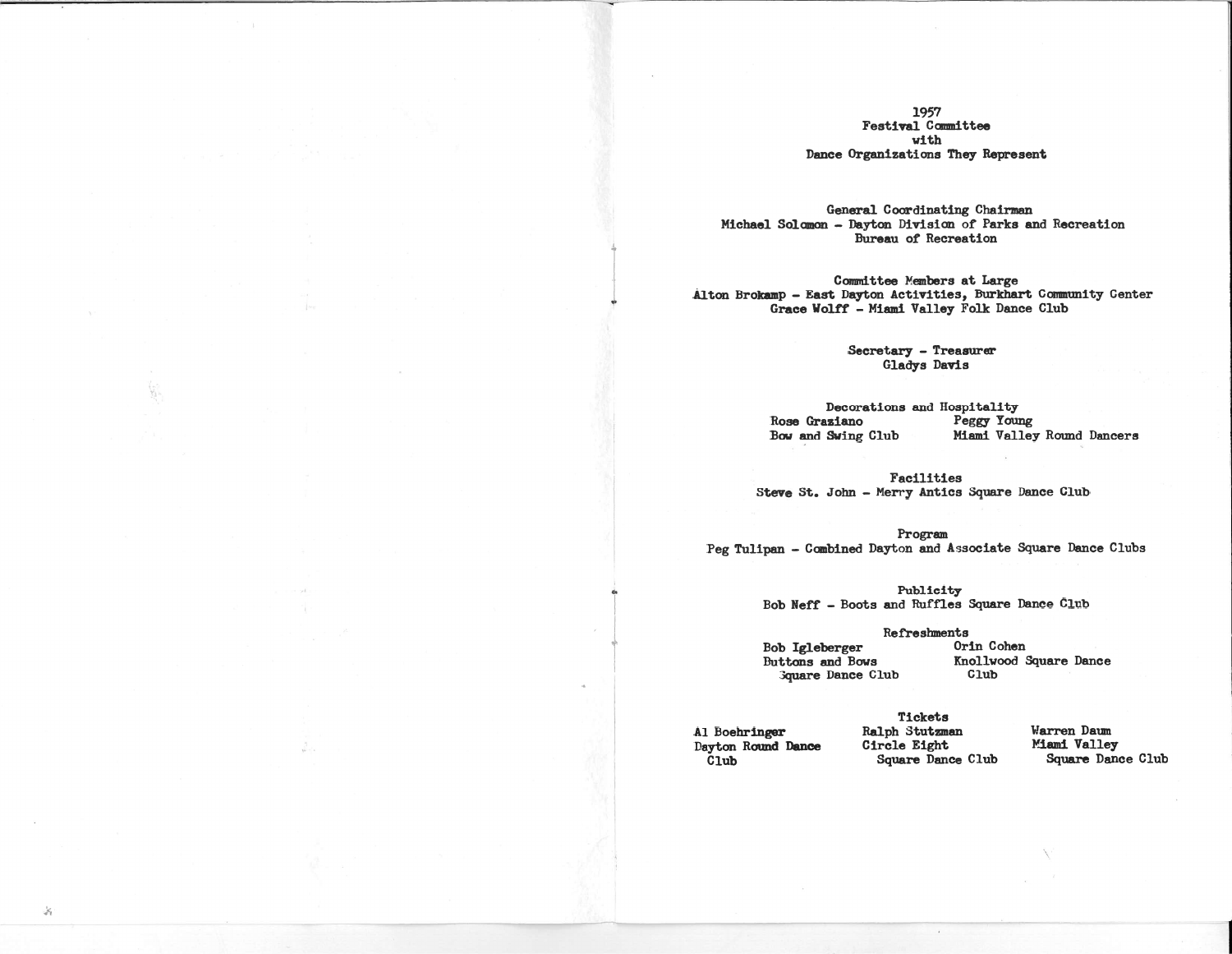# 1957 **Festival Committee** with Dance Organizations They Represent

General Coordinating Chairman Michael Solomon - Dayton Division of Parks and Recreation Bureau of Recreation

Committee Members at Large Alton Brokamp - East Dayton Activities, Burkhart Community Center Grace Wolff - Miami Valley Folk Dance Club

> Secretary - Treasurer Gladys Davis

Decorations and Hospitality Peggy Young Rose Graziano Miami Valley Round Dancers Bow and Swing Club

Facilities Steve St. John - Merry Antics Square Dance Club

Program Peg Tulipan - Combined Dayton and Associate Square Dance Clubs

> Publicity Bob Neff - Boots and Ruffles Square Dance Club

> > Refreshments

Bob Igleberger Buttons and Bows **Guare Dance Club**  Orin Cohen Knollwood Square Dance  $C1ub$ 

Al Boehringer Dayton Round Dance  $\ddot{c}$ lub

Tickets Ralph Stutzman Circle Eight Square Dance Club

Warren Daum Miami Valley Square Dance Club

 $\mathcal{S}_t$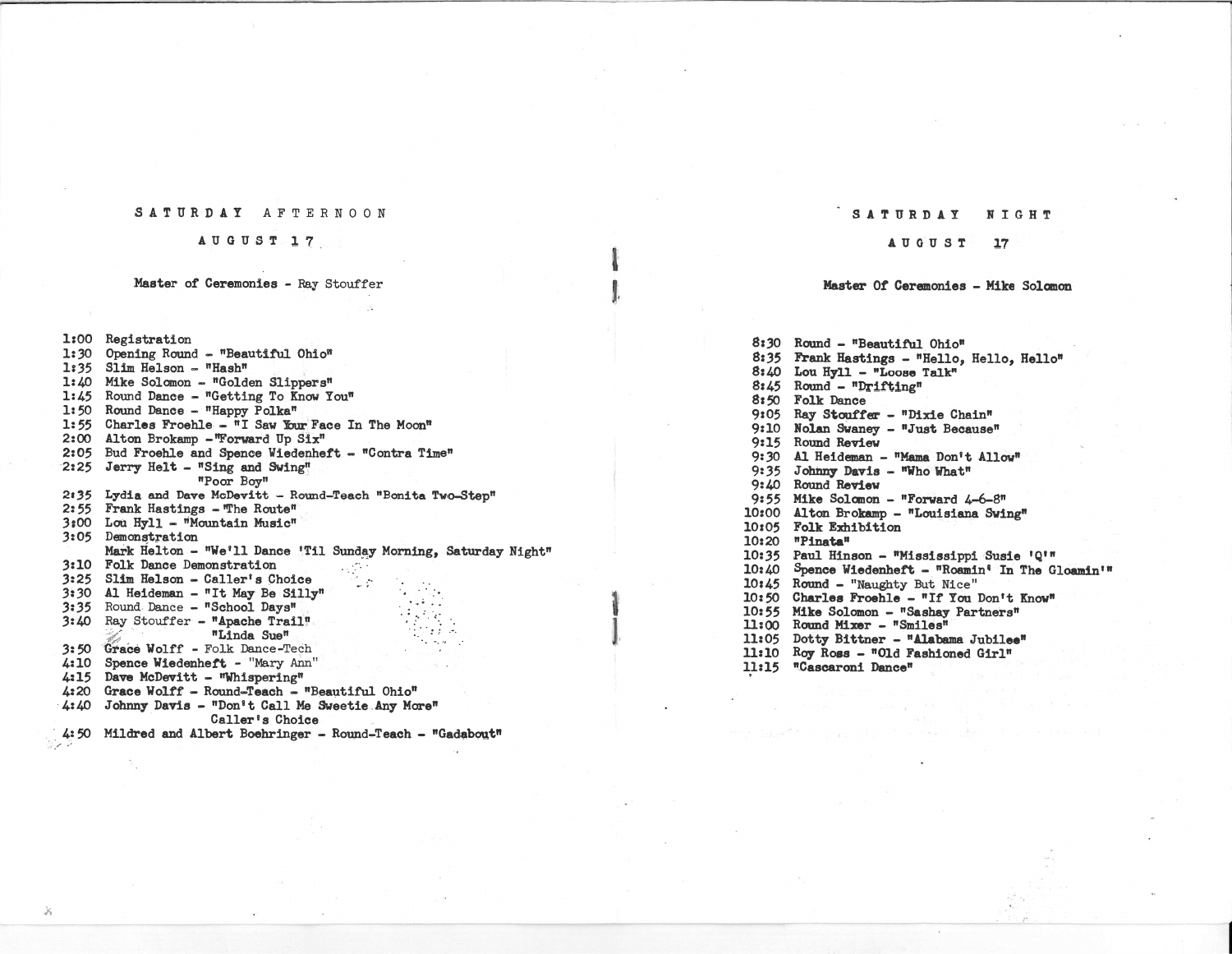## SATURDAY AFTERNOON

### AUGUST 17.

# Master of Ceremonies - Ray Stouffer

l:00 Registration

J.

1:30 Opening Round - "Beautiful Ohio" 1:35 Slim Helson - "Hash" 1:40 Mike Solomon - "Golden Slippers" 1:45 Round Dance - "Getting To Know You" 1:50 Round Dance - "Happy Polka" 1:55 Charles Froehle - "I Saw Your Face In The Moon" 2:00Alton Brokamp -"Forward Up Six" 2:05 Bud Froehle and Spence Wiedenheft - "Contra Time" 2:25 Jerry Helt - "Sing and Swing" "Poor Boy" 2:35 Lydia and Dave McDevitt - Round-Teach "Bonita Two-Step" 2:55 Frank Hastings - The Route" 3:00 Lou Hyll - "Mountain Music" 3:05 Demonstration Mark Helton - "We'll Dance 'Til Sunday Morning, Saturday Night" **Section** 3:10Folk Dance Demonstration 3:25 Slim Helson - Caller's Choice 3:30Al Heideman - "It May Be Silly" .". '. 3:35 Round Dance - "School Days" 3:40 Ray Stouffer - "Apache Trail" \_.. . "Linda Sue" .: .<sup>=</sup>**3:50 Grace Wolff - Folk Dance-Tech** 4:10 Spence Wiedenheft - "Mary Ann" 4:15 Dave McDevitt - "Whispering" 4:20 Grace Wolff - Round-Teach - "Beautiful Ohio" 4:40 Johnny Davis - "Don't Call Me Sweetie Any More" Caller's Choice4:50 Mildred and Albert Boehringer - Round-Teach - "Gadabout"

#### SATURDAYN I G H '1

### AUGU ST 17

 $\mathbf{I}$ 

l

**I** 1

### Master Of Ceremonies - Mike Solanon

8:30 Round - "Beautiful Ohio" 8:35 Frank Hastings - "Hello, Hello, Hello"  $8:40$  Lou Hyll - "Loose Talk"  $8:45$  Round - "Drifting" *8:50*Folk Dance 9:05 Ray Stouffer - "Dixie Chain" 9:10 Nolan Swaney - "Just Because" 9:15 Round Review 9:30 Al Heideman - "Mama Don't Allow" 9:35 Johnny Davis - "Who What" 9:40 Round Review 9:55 Mike Solomon - "Forward 4-6-8" 10:00 Alton Brokamp - "Louisiana Swing" 10:05 Folk Exhibition 10:20 "Pinata" 10:35 Paul Hinson - "Mississippi Susie 'Q'" 10:40 Spence Wiedenheft - "Roamin<sup>8</sup> In The Gloamin'" 10:45 Round - "Naughty But Nice" *10:50*Charles Froehle - "If Yoo Don't Know" 10:55 Mike Solomon - "Sashay Partners" 11:00 Round Mixer - "Smiles" 11:05 Dotty Bittner - "Alabama Jubilee" 11:10 Roy Ross - "Old Fashioned Girl" 11:15 "Cascaroni Dance"